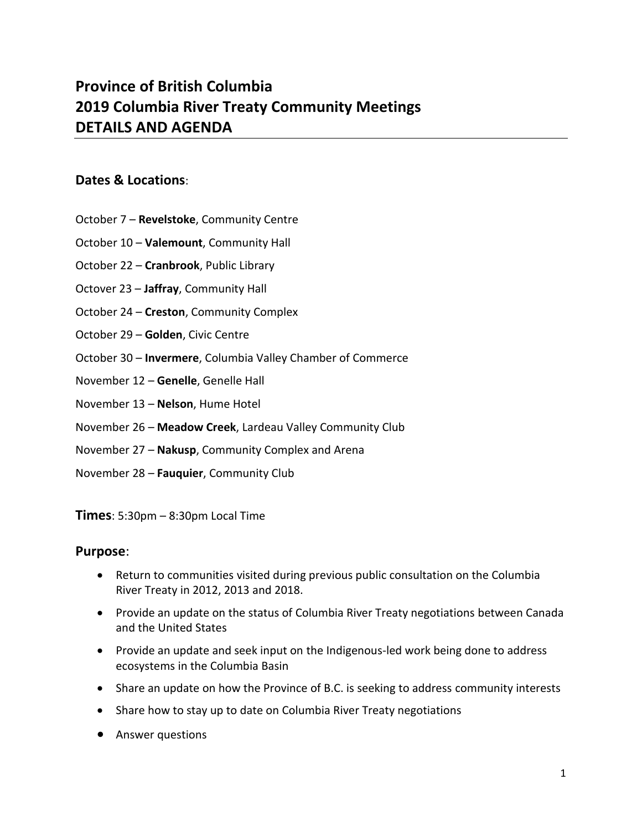## **Province of British Columbia 2019 Columbia River Treaty Community Meetings DETAILS AND AGENDA**

## **Dates & Locations**:

- October 7 **Revelstoke**, Community Centre
- October 10 **Valemount**, Community Hall
- October 22 **Cranbrook**, Public Library
- Octover 23 **Jaffray**, Community Hall
- October 24 **Creston**, Community Complex
- October 29 **Golden**, Civic Centre
- October 30 **Invermere**, Columbia Valley Chamber of Commerce
- November 12 **Genelle**, Genelle Hall
- November 13 **Nelson**, Hume Hotel
- November 26 **Meadow Creek**, Lardeau Valley Community Club
- November 27 **Nakusp**, Community Complex and Arena
- November 28 **Fauquier**, Community Club

**Times**: 5:30pm – 8:30pm Local Time

## **Purpose**:

- Return to communities visited during previous public consultation on the Columbia River Treaty in 2012, 2013 and 2018.
- Provide an update on the status of Columbia River Treaty negotiations between Canada and the United States
- Provide an update and seek input on the Indigenous-led work being done to address ecosystems in the Columbia Basin
- Share an update on how the Province of B.C. is seeking to address community interests
- Share how to stay up to date on Columbia River Treaty negotiations
- Answer questions